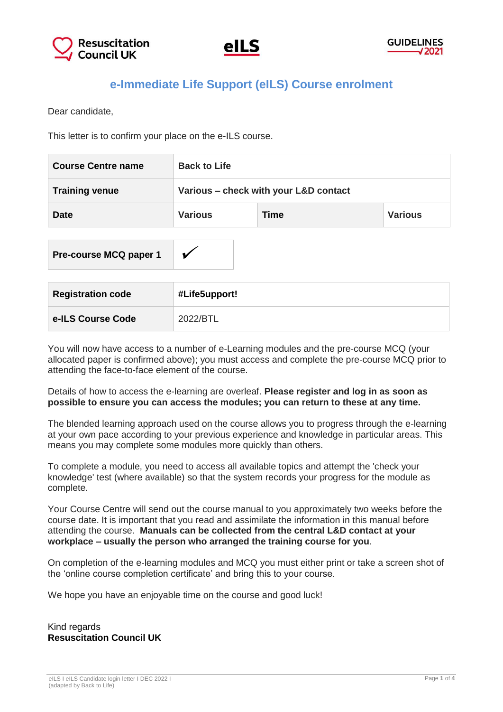

**Pre-course MCQ paper 1**

# **e-Immediate Life Support (eILS) Course enrolment**

Dear candidate,

This letter is to confirm your place on the e-ILS course.

| <b>Course Centre name</b> | <b>Back to Life</b>                   |      |                |
|---------------------------|---------------------------------------|------|----------------|
| <b>Training venue</b>     | Various - check with your L&D contact |      |                |
| <b>Date</b>               | <b>Various</b>                        | Time | <b>Various</b> |
|                           |                                       |      |                |

| <b>Registration code</b> | #Life5upport! |
|--------------------------|---------------|
| e-ILS Course Code        | 2022/BTL      |

You will now have access to a number of e-Learning modules and the pre-course MCQ (your allocated paper is confirmed above); you must access and complete the pre-course MCQ prior to attending the face-to-face element of the course.

Details of how to access the e-learning are overleaf. **Please register and log in as soon as possible to ensure you can access the modules; you can return to these at any time.**

The blended learning approach used on the course allows you to progress through the e-learning at your own pace according to your previous experience and knowledge in particular areas. This means you may complete some modules more quickly than others.

To complete a module, you need to access all available topics and attempt the 'check your knowledge' test (where available) so that the system records your progress for the module as complete.

Your Course Centre will send out the course manual to you approximately two weeks before the course date. It is important that you read and assimilate the information in this manual before attending the course. **Manuals can be collected from the central L&D contact at your workplace – usually the person who arranged the training course for you**.

On completion of the e-learning modules and MCQ you must either print or take a screen shot of the 'online course completion certificate' and bring this to your course.

We hope you have an enjoyable time on the course and good luck!

Kind regards **Resuscitation Council UK**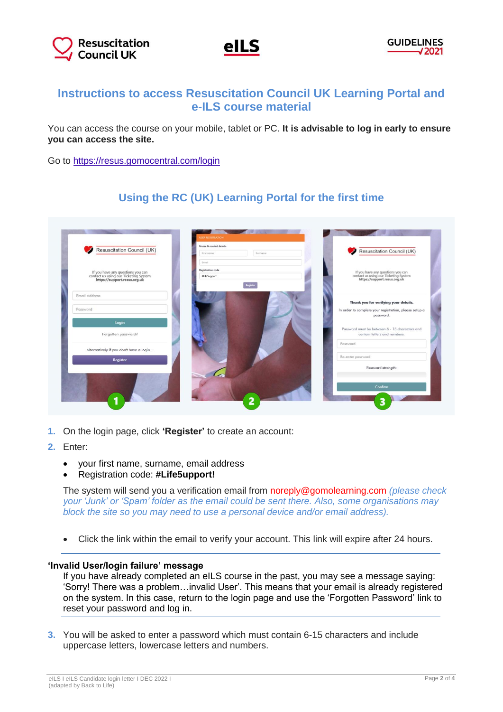



## **Instructions to access Resuscitation Council UK Learning Portal and e-ILS course material**

You can access the course on your mobile, tablet or PC. **It is advisable to log in early to ensure you can access the site.**

Go to<https://resus.gomocentral.com/login>

### **Using the RC (UK) Learning Portal for the first time**



- **1.** On the login page, click **'Register'** to create an account:
- **2.** Enter:
	- your first name, surname, email address
	- Registration code: **#Life5upport!**

The system will send you a verification email from noreply@gomolearning.com *(please check your 'Junk' or 'Spam' folder as the email could be sent there. Also, some organisations may block the site so you may need to use a personal device and/or email address).*

Click the link within the email to verify your account. This link will expire after 24 hours.

#### **'Invalid User/login failure' message**

If you have already completed an eILS course in the past, you may see a message saying: 'Sorry! There was a problem…invalid User'. This means that your email is already registered on the system. In this case, return to the login page and use the 'Forgotten Password' link to reset your password and log in.

**3.** You will be asked to enter a password which must contain 6-15 characters and include uppercase letters, lowercase letters and numbers.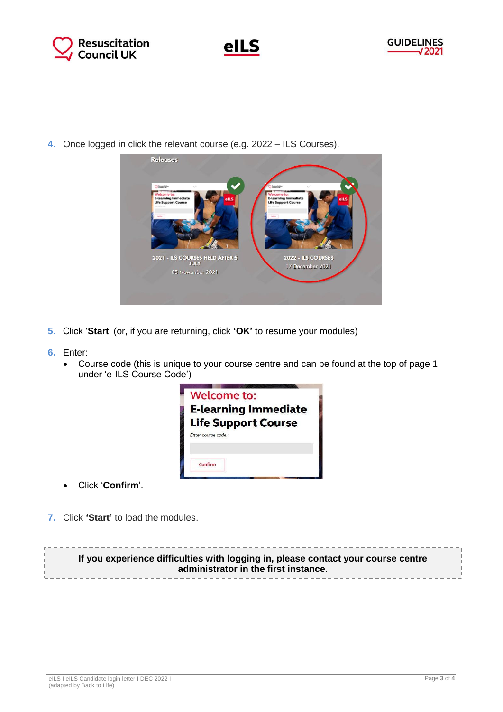



**4.** Once logged in click the relevant course (e.g. 2022 – ILS Courses).



- **5.** Click '**Start**' (or, if you are returning, click **'OK'** to resume your modules)
- **6.** Enter:
	- Course code (this is unique to your course centre and can be found at the top of page 1 under 'e-ILS Course Code')



- Click '**Confirm**'.
- **7.** Click **'Start'** to load the modules.

**If you experience difficulties with logging in, please contact your course centre administrator in the first instance.**